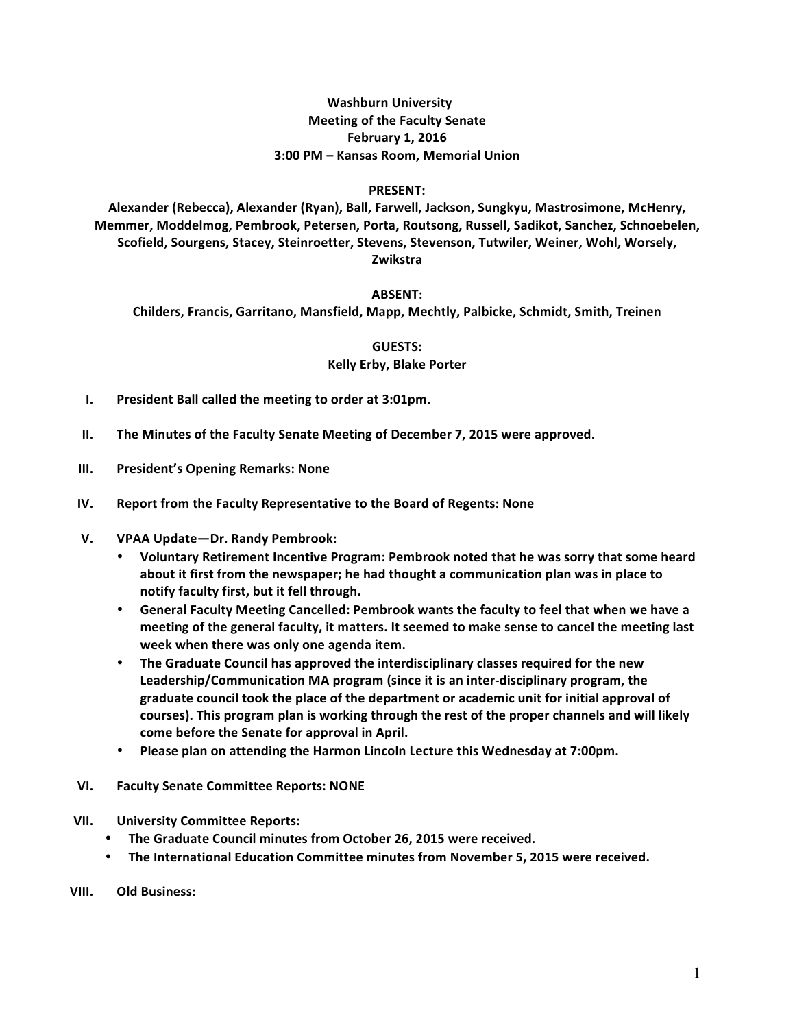# **Washburn University Meeting of the Faculty Senate February 1, 2016 3:00 PM – Kansas Room, Memorial Union**

#### **PRESENT:**

Alexander (Rebecca), Alexander (Ryan), Ball, Farwell, Jackson, Sungkyu, Mastrosimone, McHenry, **Memmer, Moddelmog, Pembrook, Petersen, Porta, Routsong, Russell, Sadikot, Sanchez, Schnoebelen,**  Scofield, Sourgens, Stacey, Steinroetter, Stevens, Stevenson, Tutwiler, Weiner, Wohl, Worsely, **Zwikstra**

#### **ABSENT:**

**Childers, Francis, Garritano, Mansfield, Mapp, Mechtly, Palbicke, Schmidt, Smith, Treinen**

**GUESTS:**

## **Kelly Erby, Blake Porter**

- **I.** President Ball called the meeting to order at 3:01pm.
- **II.** The Minutes of the Faculty Senate Meeting of December 7, 2015 were approved.
- **III. President's Opening Remarks: None**
- **IV.** Report from the Faculty Representative to the Board of Regents: None
- **V. VPAA Update—Dr. Randy Pembrook:**
	- Voluntary Retirement Incentive Program: Pembrook noted that he was sorry that some heard **about** it first from the newspaper; he had thought a communication plan was in place to notify faculty first, but it fell through.
	- **General Faculty Meeting Cancelled: Pembrook wants the faculty to feel that when we have a**  meeting of the general faculty, it matters. It seemed to make sense to cancel the meeting last **week when there was only one agenda item.**
	- The Graduate Council has approved the interdisciplinary classes required for the new Leadership/Communication MA program (since it is an inter-disciplinary program, the graduate council took the place of the department or academic unit for initial approval of **courses).** This program plan is working through the rest of the proper channels and will likely **come before the Senate for approval in April.**
	- **Please plan on attending the Harmon Lincoln Lecture this Wednesday at 7:00pm.**
- **VI. Faculty Senate Committee Reports: NONE**
- **VII. University Committee Reports:**
	- The Graduate Council minutes from October 26, 2015 were received.
	- **The International Education Committee minutes from November 5, 2015 were received.**
- **VIII.** Old Business: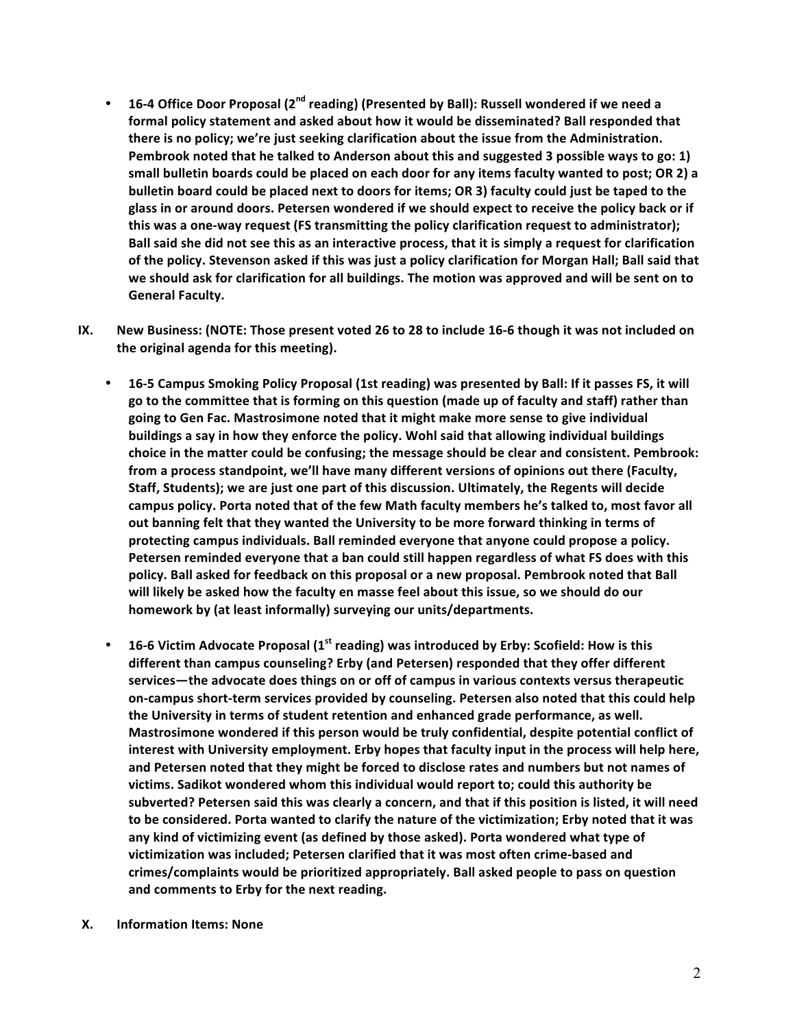- 16-4 Office Door Proposal (2<sup>nd</sup> reading) (Presented by Ball): Russell wondered if we need a formal policy statement and asked about how it would be disseminated? Ball responded that **there** is no policy; we're just seeking clarification about the issue from the Administration. Pembrook noted that he talked to Anderson about this and suggested 3 possible ways to go: 1) **small bulletin boards could be placed on each door for any items faculty wanted to post; OR 2) a bulletin board could be placed next to doors for items; OR 3) faculty could just be taped to the** glass in or around doors. Petersen wondered if we should expect to receive the policy back or if this was a one-way request (FS transmitting the policy clarification request to administrator); Ball said she did not see this as an interactive process, that it is simply a request for clarification of the policy. Stevenson asked if this was just a policy clarification for Morgan Hall; Ball said that we should ask for clarification for all buildings. The motion was approved and will be sent on to **General Faculty.**
- **IX.** New Business: (NOTE: Those present voted 26 to 28 to include 16-6 though it was not included on **the original agenda for this meeting).**
	- 16-5 Campus Smoking Policy Proposal (1st reading) was presented by Ball: If it passes FS, it will go to the committee that is forming on this question (made up of faculty and staff) rather than going to Gen Fac. Mastrosimone noted that it might make more sense to give individual **buildings** a say in how they enforce the policy. Wohl said that allowing individual buildings choice in the matter could be confusing; the message should be clear and consistent. Pembrook: from a process standpoint, we'll have many different versions of opinions out there (Faculty, **Staff, Students);** we are just one part of this discussion. Ultimately, the Regents will decide campus policy. Porta noted that of the few Math faculty members he's talked to, most favor all out banning felt that they wanted the University to be more forward thinking in terms of protecting campus individuals. Ball reminded everyone that anyone could propose a policy. Petersen reminded everyone that a ban could still happen regardless of what FS does with this policy. Ball asked for feedback on this proposal or a new proposal. Pembrook noted that Ball will likely be asked how the faculty en masse feel about this issue, so we should do our homework by (at least informally) surveying our units/departments.
	- 16-6 Victim Advocate Proposal (1<sup>st</sup> reading) was introduced by Erby: Scofield: How is this different than campus counseling? Erby (and Petersen) responded that they offer different services—the advocate does things on or off of campus in various contexts versus therapeutic on-campus short-term services provided by counseling. Petersen also noted that this could help the University in terms of student retention and enhanced grade performance, as well. Mastrosimone wondered if this person would be truly confidential, despite potential conflict of **interest with University employment.** Erby hopes that faculty input in the process will help here, and Petersen noted that they might be forced to disclose rates and numbers but not names of victims. Sadikot wondered whom this individual would report to; could this authority be subverted? Petersen said this was clearly a concern, and that if this position is listed, it will need to be considered. Porta wanted to clarify the nature of the victimization; Erby noted that it was any kind of victimizing event (as defined by those asked). Porta wondered what type of victimization was included; Petersen clarified that it was most often crime-based and crimes/complaints would be prioritized appropriately. Ball asked people to pass on question and comments to Erby for the next reading.
- **X. Information Items: None**